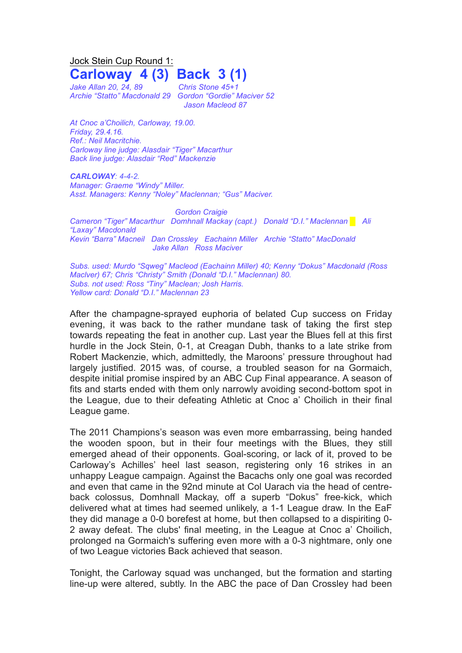Jock Stein Cup Round 1:

## **Carloway 4 (3) Back 3 (1)**

*Jake Allan 20, 24, 89 Chris Stone 45+1 Archie "Statto" Macdonald 29 Gordon "Gordie" Maciver 52*

*Jason Macleod 87*

*At Cnoc a'Choilich, Carloway, 19.00. Friday, 29.4.16. Ref.: Neil Macritchie. Carloway line judge: Alasdair "Tiger" Macarthur Back line judge: Alasdair "Red" Mackenzie*

*CARLOWAY: 4-4-2. Manager: Graeme "Windy" Miller. Asst. Managers: Kenny "Noley" Maclennan; "Gus" Maciver.*

*Gordon Craigie Cameron "Tiger" Macarthur Domhnall Mackay (capt.) Donald "D.I." Maclennan █ Ali "Laxay" Macdonald Kevin "Barra" Macneil Dan Crossley Eachainn Miller Archie "Statto" MacDonald Jake Allan Ross Maciver*

*Subs. used: Murdo "Sqweg" Macleod (Eachainn Miller) 40; Kenny "Dokus" Macdonald (Ross Maclver) 67; Chris "Christy" Smith (Donald "D.I." Maclennan) 80. Subs. not used: Ross "Tiny" Maclean; Josh Harris. Yellow card: Donald "D.I." Maclennan 23*

After the champagne-sprayed euphoria of belated Cup success on Friday evening, it was back to the rather mundane task of taking the first step towards repeating the feat in another cup. Last year the Blues fell at this first hurdle in the Jock Stein, 0-1, at Creagan Dubh, thanks to a late strike from Robert Mackenzie, which, admittedly, the Maroons' pressure throughout had largely justified. 2015 was, of course, a troubled season for na Gormaich, despite initial promise inspired by an ABC Cup Final appearance. A season of fits and starts ended with them only narrowly avoiding second-bottom spot in the League, due to their defeating Athletic at Cnoc a' Choilich in their final League game.

The 2011 Champions's season was even more embarrassing, being handed the wooden spoon, but in their four meetings with the Blues, they still emerged ahead of their opponents. Goal-scoring, or lack of it, proved to be Carloway's Achilles' heel last season, registering only 16 strikes in an unhappy League campaign. Against the Bacachs only one goal was recorded and even that came in the 92nd minute at Col Uarach via the head of centreback colossus, Domhnall Mackay, off a superb "Dokus" free-kick, which delivered what at times had seemed unlikely, a 1-1 League draw. In the EaF they did manage a 0-0 borefest at home, but then collapsed to a dispiriting 0- 2 away defeat. The clubs' final meeting, in the League at Cnoc a' Choilich, prolonged na Gormaich's suffering even more with a 0-3 nightmare, only one of two League victories Back achieved that season.

Tonight, the Carloway squad was unchanged, but the formation and starting line-up were altered, subtly. In the ABC the pace of Dan Crossley had been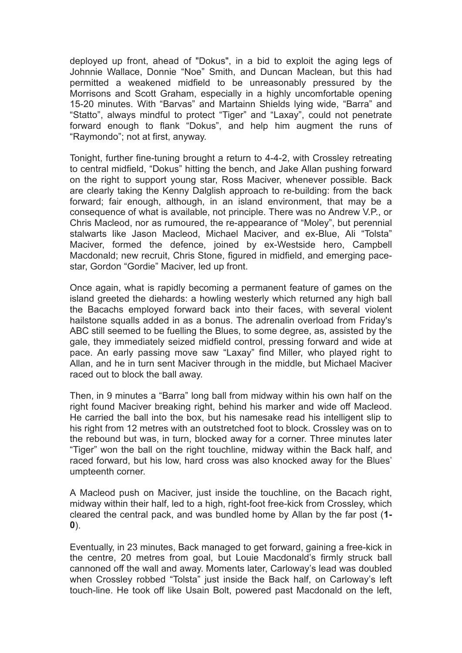deployed up front, ahead of "Dokus", in a bid to exploit the aging legs of Johnnie Wallace, Donnie "Noe" Smith, and Duncan Maclean, but this had permitted a weakened midfield to be unreasonably pressured by the Morrisons and Scott Graham, especially in a highly uncomfortable opening 15-20 minutes. With "Barvas" and Martainn Shields lying wide, "Barra" and "Statto", always mindful to protect "Tiger" and "Laxay", could not penetrate forward enough to flank "Dokus", and help him augment the runs of "Raymondo"; not at first, anyway.

Tonight, further fine-tuning brought a return to 4-4-2, with Crossley retreating to central midfield, "Dokus" hitting the bench, and Jake Allan pushing forward on the right to support young star, Ross Maciver, whenever possible. Back are clearly taking the Kenny Dalglish approach to re-building: from the back forward; fair enough, although, in an island environment, that may be a consequence of what is available, not principle. There was no Andrew V.P., or Chris Macleod, nor as rumoured, the re-appearance of "Moley", but perennial stalwarts like Jason Macleod, Michael Maciver, and ex-Blue, Ali "Tolsta" Maciver, formed the defence, joined by ex-Westside hero, Campbell Macdonald; new recruit, Chris Stone, figured in midfield, and emerging pacestar, Gordon "Gordie" Maciver, led up front.

Once again, what is rapidly becoming a permanent feature of games on the island greeted the diehards: a howling westerly which returned any high ball the Bacachs employed forward back into their faces, with several violent hailstone squalls added in as a bonus. The adrenalin overload from Friday's ABC still seemed to be fuelling the Blues, to some degree, as, assisted by the gale, they immediately seized midfield control, pressing forward and wide at pace. An early passing move saw "Laxay" find Miller, who played right to Allan, and he in turn sent Maciver through in the middle, but Michael Maciver raced out to block the ball away.

Then, in 9 minutes a "Barra" long ball from midway within his own half on the right found Maciver breaking right, behind his marker and wide off Macleod. He carried the ball into the box, but his namesake read his intelligent slip to his right from 12 metres with an outstretched foot to block. Crossley was on to the rebound but was, in turn, blocked away for a corner. Three minutes later "Tiger" won the ball on the right touchline, midway within the Back half, and raced forward, but his low, hard cross was also knocked away for the Blues' umpteenth corner.

A Macleod push on Maciver, just inside the touchline, on the Bacach right, midway within their half, led to a high, right-foot free-kick from Crossley, which cleared the central pack, and was bundled home by Allan by the far post (**1- 0**).

Eventually, in 23 minutes, Back managed to get forward, gaining a free-kick in the centre, 20 metres from goal, but Louie Macdonald's firmly struck ball cannoned off the wall and away. Moments later, Carloway's lead was doubled when Crossley robbed "Tolsta" just inside the Back half, on Carloway's left touch-line. He took off like Usain Bolt, powered past Macdonald on the left,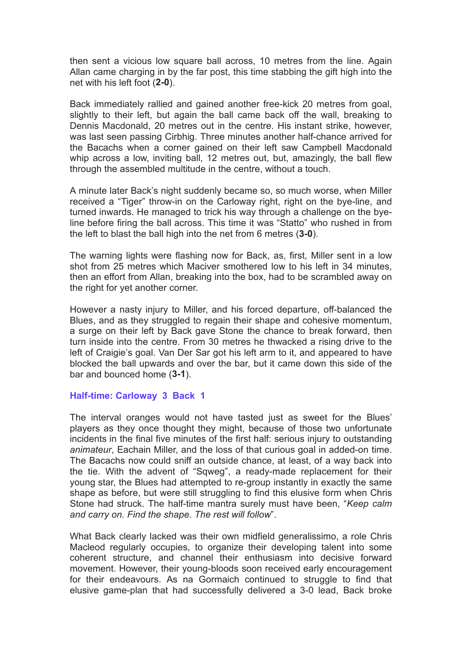then sent a vicious low square ball across, 10 metres from the line. Again Allan came charging in by the far post, this time stabbing the gift high into the net with his left foot (**2-0**).

Back immediately rallied and gained another free-kick 20 metres from goal, slightly to their left, but again the ball came back off the wall, breaking to Dennis Macdonald, 20 metres out in the centre. His instant strike, however, was last seen passing Cirbhig. Three minutes another half-chance arrived for the Bacachs when a corner gained on their left saw Campbell Macdonald whip across a low, inviting ball, 12 metres out, but, amazingly, the ball flew through the assembled multitude in the centre, without a touch.

A minute later Back's night suddenly became so, so much worse, when Miller received a "Tiger" throw-in on the Carloway right, right on the bye-line, and turned inwards. He managed to trick his way through a challenge on the byeline before firing the ball across. This time it was "Statto" who rushed in from the left to blast the ball high into the net from 6 metres (**3-0**).

The warning lights were flashing now for Back, as, first, Miller sent in a low shot from 25 metres which Maciver smothered low to his left in 34 minutes, then an effort from Allan, breaking into the box, had to be scrambled away on the right for yet another corner.

However a nasty injury to Miller, and his forced departure, off-balanced the Blues, and as they struggled to regain their shape and cohesive momentum, a surge on their left by Back gave Stone the chance to break forward, then turn inside into the centre. From 30 metres he thwacked a rising drive to the left of Craigie's goal. Van Der Sar got his left arm to it, and appeared to have blocked the ball upwards and over the bar, but it came down this side of the bar and bounced home (**3-1**).

## **Half-time: Carloway 3 Back 1**

The interval oranges would not have tasted just as sweet for the Blues' players as they once thought they might, because of those two unfortunate incidents in the final five minutes of the first half: serious injury to outstanding *animateur*, Eachain Miller, and the loss of that curious goal in added-on time. The Bacachs now could sniff an outside chance, at least, of a way back into the tie. With the advent of "Sqweg", a ready-made replacement for their young star, the Blues had attempted to re-group instantly in exactly the same shape as before, but were still struggling to find this elusive form when Chris Stone had struck. The half-time mantra surely must have been, "*Keep calm and carry on. Find the shape. The rest will follow*".

What Back clearly lacked was their own midfield generalissimo, a role Chris Macleod regularly occupies, to organize their developing talent into some coherent structure, and channel their enthusiasm into decisive forward movement. However, their young-bloods soon received early encouragement for their endeavours. As na Gormaich continued to struggle to find that elusive game-plan that had successfully delivered a 3-0 lead, Back broke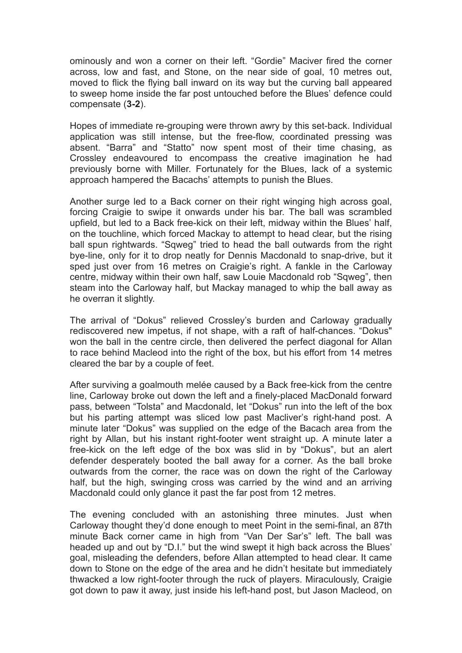ominously and won a corner on their left. "Gordie" Maciver fired the corner across, low and fast, and Stone, on the near side of goal, 10 metres out, moved to flick the flying ball inward on its way but the curving ball appeared to sweep home inside the far post untouched before the Blues' defence could compensate (**3-2**).

Hopes of immediate re-grouping were thrown awry by this set-back. Individual application was still intense, but the free-flow, coordinated pressing was absent. "Barra" and "Statto" now spent most of their time chasing, as Crossley endeavoured to encompass the creative imagination he had previously borne with Miller. Fortunately for the Blues, lack of a systemic approach hampered the Bacachs' attempts to punish the Blues.

Another surge led to a Back corner on their right winging high across goal, forcing Craigie to swipe it onwards under his bar. The ball was scrambled upfield, but led to a Back free-kick on their left, midway within the Blues' half, on the touchline, which forced Mackay to attempt to head clear, but the rising ball spun rightwards. "Sqweg" tried to head the ball outwards from the right bye-line, only for it to drop neatly for Dennis Macdonald to snap-drive, but it sped just over from 16 metres on Craigie's right. A fankle in the Carloway centre, midway within their own half, saw Louie Macdonald rob "Sqweg", then steam into the Carloway half, but Mackay managed to whip the ball away as he overran it slightly.

The arrival of "Dokus" relieved Crossley's burden and Carloway gradually rediscovered new impetus, if not shape, with a raft of half-chances. "Dokus" won the ball in the centre circle, then delivered the perfect diagonal for Allan to race behind Macleod into the right of the box, but his effort from 14 metres cleared the bar by a couple of feet.

After surviving a goalmouth melée caused by a Back free-kick from the centre line, Carloway broke out down the left and a finely-placed MacDonald forward pass, between "Tolsta" and Macdonald, let "Dokus" run into the left of the box but his parting attempt was sliced low past Macliver's right-hand post. A minute later "Dokus" was supplied on the edge of the Bacach area from the right by Allan, but his instant right-footer went straight up. A minute later a free-kick on the left edge of the box was slid in by "Dokus", but an alert defender desperately booted the ball away for a corner. As the ball broke outwards from the corner, the race was on down the right of the Carloway half, but the high, swinging cross was carried by the wind and an arriving Macdonald could only glance it past the far post from 12 metres.

The evening concluded with an astonishing three minutes. Just when Carloway thought they'd done enough to meet Point in the semi-final, an 87th minute Back corner came in high from "Van Der Sar's" left. The ball was headed up and out by "D.I." but the wind swept it high back across the Blues' goal, misleading the defenders, before Allan attempted to head clear. It came down to Stone on the edge of the area and he didn't hesitate but immediately thwacked a low right-footer through the ruck of players. Miraculously, Craigie got down to paw it away, just inside his left-hand post, but Jason Macleod, on